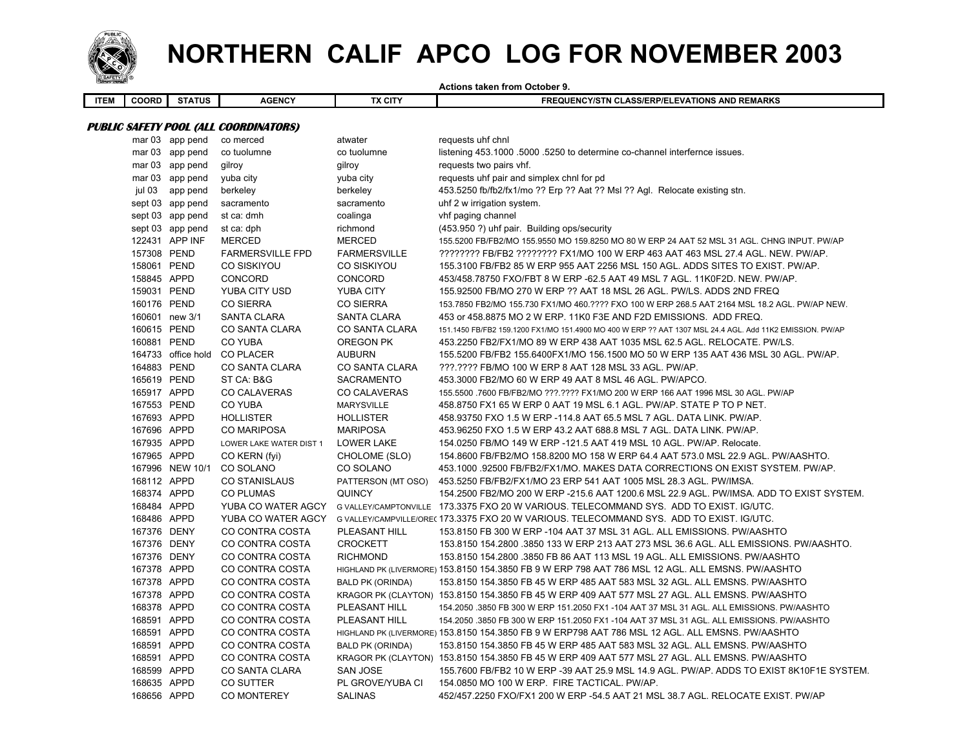

## **NORTHERN CALIF APCO LOG FOR NOVEMBER 2003**

|             |                |                  |                                       |                         | <b>Actions taken from October 9.</b>                                                                     |
|-------------|----------------|------------------|---------------------------------------|-------------------------|----------------------------------------------------------------------------------------------------------|
| <b>ITEM</b> | COORD          | <b>STATUS</b>    | <b>AGENCY</b>                         | <b>TX CITY</b>          | FREQUENCY/STN CLASS/ERP/ELEVATIONS AND REMARKS                                                           |
|             |                |                  |                                       |                         |                                                                                                          |
|             |                |                  | PUBLIC SAFETY POOL (ALL COORDINATORS) |                         |                                                                                                          |
|             |                | mar 03 app pend  | co merced                             | atwater                 | requests uhf chnl                                                                                        |
|             |                | mar 03 app pend  | co tuolumne                           | co tuolumne             | listening 453.1000 .5000 .5250 to determine co-channel interfernce issues.                               |
|             |                | mar 03 app pend  | gilroy                                | gilroy                  | requests two pairs vhf.                                                                                  |
|             |                | mar 03 app pend  | yuba city                             | yuba city               | requests uhf pair and simplex chnl for pd                                                                |
|             | jul 03         | app pend         | berkeley                              | berkeley                | 453.5250 fb/fb2/fx1/mo ?? Erp ?? Aat ?? Msl ?? Agl. Relocate existing stn.                               |
|             |                | sept 03 app pend | sacramento                            | sacramento              | uhf 2 w irrigation system.                                                                               |
|             |                | sept 03 app pend | st ca: dmh                            | coalinga                | vhf paging channel                                                                                       |
|             |                | sept 03 app pend | st ca: dph                            | richmond                | (453.950 ?) uhf pair. Building ops/security                                                              |
|             |                | 122431 APP INF   | <b>MERCED</b>                         | <b>MERCED</b>           | 155.5200 FB/FB2/MO 155.9550 MO 159.8250 MO 80 W ERP 24 AAT 52 MSL 31 AGL. CHNG INPUT. PW/AP              |
|             | 157308 PEND    |                  | <b>FARMERSVILLE FPD</b>               | <b>FARMERSVILLE</b>     | ???????? FB/FB2 ???????? FX1/MO 100 W ERP 463 AAT 463 MSL 27.4 AGL. NEW. PW/AP.                          |
|             | 158061 PEND    |                  | CO SISKIYOU                           | CO SISKIYOU             | 155.3100 FB/FB2 85 W ERP 955 AAT 2256 MSL 150 AGL. ADDS SITES TO EXIST. PW/AP.                           |
|             | 158845 APPD    |                  | <b>CONCORD</b>                        | <b>CONCORD</b>          | 453/458.78750 FXO/FBT 8 W ERP -62.5 AAT 49 MSL 7 AGL. 11K0F2D. NEW. PW/AP.                               |
|             | 159031 PEND    |                  | YUBA CITY USD                         | <b>YUBA CITY</b>        | 155.92500 FB/MO 270 W ERP ?? AAT 18 MSL 26 AGL. PW/LS. ADDS 2ND FREQ                                     |
|             | 160176 PEND    |                  | <b>CO SIERRA</b>                      | <b>CO SIERRA</b>        | 153.7850 FB2/MO 155.730 FX1/MO 460.???? FXO 100 W ERP 268.5 AAT 2164 MSL 18.2 AGL. PW/AP NEW.            |
|             | 160601 new 3/1 |                  | <b>SANTA CLARA</b>                    | <b>SANTA CLARA</b>      | 453 or 458.8875 MO 2 W ERP. 11K0 F3E AND F2D EMISSIONS. ADD FREQ.                                        |
|             | 160615 PEND    |                  | CO SANTA CLARA                        | CO SANTA CLARA          | 151.1450 FB/FB2 159.1200 FX1/MO 151.4900 MO 400 W ERP ?? AAT 1307 MSL 24.4 AGL. Add 11K2 EMISSION. PW/AP |
|             | 160881 PEND    |                  | <b>CO YUBA</b>                        | OREGON PK               | 453.2250 FB2/FX1/MO 89 W ERP 438 AAT 1035 MSL 62.5 AGL. RELOCATE. PW/LS.                                 |
|             |                |                  | 164733 office hold CO PLACER          | <b>AUBURN</b>           | 155.5200 FB/FB2 155.6400FX1/MO 156.1500 MO 50 W ERP 135 AAT 436 MSL 30 AGL. PW/AP.                       |
|             | 164883 PEND    |                  | CO SANTA CLARA                        | CO SANTA CLARA          | ???.???? FB/MO 100 W ERP 8 AAT 128 MSL 33 AGL. PW/AP.                                                    |
|             | 165619 PEND    |                  | ST CA: B&G                            | SACRAMENTO              | 453.3000 FB2/MO 60 W ERP 49 AAT 8 MSL 46 AGL. PW/APCO.                                                   |
|             | 165917 APPD    |                  | <b>CO CALAVERAS</b>                   | <b>CO CALAVERAS</b>     | 155.5500 .7600 FB/FB2/MO ???.???? FX1/MO 200 W ERP 166 AAT 1996 MSL 30 AGL. PW/AP                        |
|             | 167553 PEND    |                  | <b>CO YUBA</b>                        | <b>MARYSVILLE</b>       | 458.8750 FX1 65 W ERP 0 AAT 19 MSL 6.1 AGL. PW/AP. STATE P TO P NET.                                     |
|             | 167693 APPD    |                  | <b>HOLLISTER</b>                      | <b>HOLLISTER</b>        | 458.93750 FXO 1.5 W ERP -114.8 AAT 65.5 MSL 7 AGL. DATA LINK. PW/AP.                                     |
|             | 167696 APPD    |                  | <b>CO MARIPOSA</b>                    | <b>MARIPOSA</b>         | 453.96250 FXO 1.5 W ERP 43.2 AAT 688.8 MSL 7 AGL. DATA LINK. PW/AP.                                      |
|             | 167935 APPD    |                  | LOWER LAKE WATER DIST 1               | <b>LOWER LAKE</b>       | 154.0250 FB/MO 149 W ERP -121.5 AAT 419 MSL 10 AGL. PW/AP. Relocate.                                     |
|             | 167965 APPD    |                  | CO KERN (fyi)                         | CHOLOME (SLO)           | 154.8600 FB/FB2/MO 158.8200 MO 158 W ERP 64.4 AAT 573.0 MSL 22.9 AGL. PW/AASHTO.                         |
|             |                | 167996 NEW 10/1  | CO SOLANO                             | CO SOLANO               | 453.1000 92500 FB/FB2/FX1/MO. MAKES DATA CORRECTIONS ON EXIST SYSTEM. PW/AP.                             |
|             | 168112 APPD    |                  | <b>CO STANISLAUS</b>                  | PATTERSON (MT OSO)      | 453.5250 FB/FB2/FX1/MO 23 ERP 541 AAT 1005 MSL 28.3 AGL. PW/IMSA.                                        |
|             | 168374 APPD    |                  | <b>CO PLUMAS</b>                      | <b>QUINCY</b>           | 154.2500 FB2/MO 200 W ERP -215.6 AAT 1200.6 MSL 22.9 AGL. PW/IMSA. ADD TO EXIST SYSTEM.                  |
|             | 168484 APPD    |                  | YUBA CO WATER AGCY                    |                         | G VALLEY/CAMPTONVILLE 173.3375 FXO 20 W VARIOUS. TELECOMMAND SYS. ADD TO EXIST. IG/UTC.                  |
|             | 168486 APPD    |                  | YUBA CO WATER AGCY                    |                         | G VALLEY/CAMPVILLE/ORE(173.3375 FXO 20 W VARIOUS, TELECOMMAND SYS. ADD TO EXIST, IG/UTC.                 |
|             | 167376 DENY    |                  | CO CONTRA COSTA                       | PLEASANT HILL           | 153.8150 FB 300 W ERP -104 AAT 37 MSL 31 AGL. ALL EMISSIONS. PW/AASHTO                                   |
|             | 167376 DENY    |                  | CO CONTRA COSTA                       | <b>CROCKETT</b>         | 153.8150 154.2800 .3850 133 W ERP 213 AAT 273 MSL 36.6 AGL. ALL EMISSIONS. PW/AASHTO.                    |
|             | 167376 DENY    |                  | CO CONTRA COSTA                       | <b>RICHMOND</b>         | 153.8150 154.2800 .3850 FB 86 AAT 113 MSL 19 AGL. ALL EMISSIONS. PW/AASHTO                               |
|             | 167378 APPD    |                  | CO CONTRA COSTA                       |                         | HIGHLAND PK (LIVERMORE) 153.8150 154.3850 FB 9 W ERP 798 AAT 786 MSL 12 AGL. ALL EMSNS. PW/AASHTO        |
|             | 167378 APPD    |                  | CO CONTRA COSTA                       | <b>BALD PK (ORINDA)</b> | 153.8150 154.3850 FB 45 W ERP 485 AAT 583 MSL 32 AGL. ALL EMSNS. PW/AASHTO                               |
|             | 167378 APPD    |                  | CO CONTRA COSTA                       |                         | KRAGOR PK (CLAYTON) 153.8150 154.3850 FB 45 W ERP 409 AAT 577 MSL 27 AGL. ALL EMSNS. PW/AASHTO           |
|             | 168378 APPD    |                  | CO CONTRA COSTA                       | PLEASANT HILL           | 154.2050 .3850 FB 300 W ERP 151.2050 FX1 -104 AAT 37 MSL 31 AGL. ALL EMISSIONS. PW/AASHTO                |
|             | 168591 APPD    |                  | CO CONTRA COSTA                       | PLEASANT HILL           | 154.2050 .3850 FB 300 W ERP 151.2050 FX1 -104 AAT 37 MSL 31 AGL. ALL EMISSIONS. PW/AASHTO                |
|             | 168591 APPD    |                  | CO CONTRA COSTA                       |                         | HIGHLAND PK (LIVERMORE) 153.8150 154.3850 FB 9 W ERP798 AAT 786 MSL 12 AGL. ALL EMSNS. PW/AASHTO         |
|             | 168591 APPD    |                  | CO CONTRA COSTA                       | <b>BALD PK (ORINDA)</b> | 153.8150 154.3850 FB 45 W ERP 485 AAT 583 MSL 32 AGL. ALL EMSNS. PW/AASHTO                               |
|             | 168591 APPD    |                  | CO CONTRA COSTA                       |                         | KRAGOR PK (CLAYTON) 153.8150 154.3850 FB 45 W ERP 409 AAT 577 MSL 27 AGL. ALL EMSNS. PW/AASHTO           |
|             | 168599 APPD    |                  | CO SANTA CLARA                        | <b>SAN JOSE</b>         | 155.7600 FB/FB2 10 W ERP -39 AAT 25.9 MSL 14.9 AGL. PW/AP. ADDS TO EXIST 8K10F1E SYSTEM.                 |
|             | 168635 APPD    |                  | CO SUTTER                             | PL GROVE/YUBA CI        | 154.0850 MO 100 W ERP. FIRE TACTICAL. PW/AP.                                                             |
|             | 168656 APPD    |                  | CO MONTEREY                           | SALINAS                 | 452/457.2250 FXO/FX1 200 W ERP -54.5 AAT 21 MSL 38.7 AGL. RELOCATE EXIST. PW/AP                          |